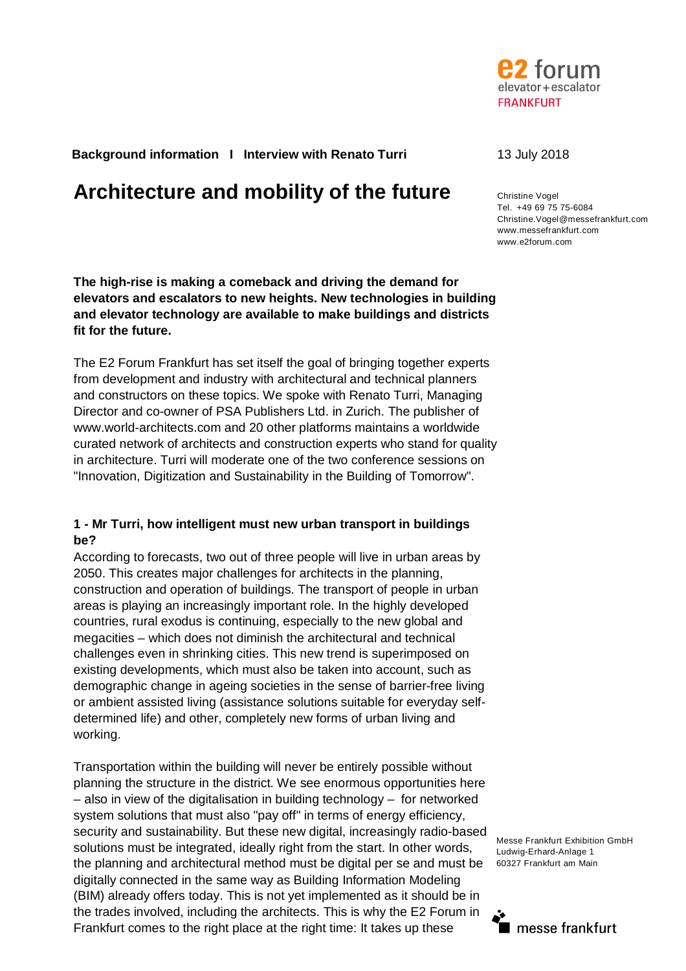

**Background information I Interview with Renato Turri** 13 July 2018

# **Architecture and mobility of the future** Christine Vogel

**The high-rise is making a comeback and driving the demand for elevators and escalators to new heights. New technologies in building and elevator technology are available to make buildings and districts fit for the future.** 

The E2 Forum Frankfurt has set itself the goal of bringing together experts from development and industry with architectural and technical planners and constructors on these topics. We spoke with Renato Turri, Managing Director and co-owner of PSA Publishers Ltd. in Zurich. The publisher of www.world-architects.com and 20 other platforms maintains a worldwide curated network of architects and construction experts who stand for quality in architecture. Turri will moderate one of the two conference sessions on "Innovation, Digitization and Sustainability in the Building of Tomorrow".

## **1 - Mr Turri, how intelligent must new urban transport in buildings be?**

According to forecasts, two out of three people will live in urban areas by 2050. This creates major challenges for architects in the planning, construction and operation of buildings. The transport of people in urban areas is playing an increasingly important role. In the highly developed countries, rural exodus is continuing, especially to the new global and megacities – which does not diminish the architectural and technical challenges even in shrinking cities. This new trend is superimposed on existing developments, which must also be taken into account, such as demographic change in ageing societies in the sense of barrier-free living or ambient assisted living (assistance solutions suitable for everyday selfdetermined life) and other, completely new forms of urban living and working.

Transportation within the building will never be entirely possible without planning the structure in the district. We see enormous opportunities here – also in view of the digitalisation in building technology – for networked system solutions that must also "pay off" in terms of energy efficiency, security and sustainability. But these new digital, increasingly radio-based solutions must be integrated, ideally right from the start. In other words, the planning and architectural method must be digital per se and must be digitally connected in the same way as Building Information Modeling (BIM) already offers today. This is not yet implemented as it should be in the trades involved, including the architects. This is why the E2 Forum in Frankfurt comes to the right place at the right time: It takes up these

Tel. +49 69 75 75-6084 Christine.Vogel@messefrankfurt.com www.messefrankfurt.com www.e2forum.com

Messe Frankfurt Exhibition GmbH Ludwig-Erhard-Anlage 1 60327 Frankfurt am Main

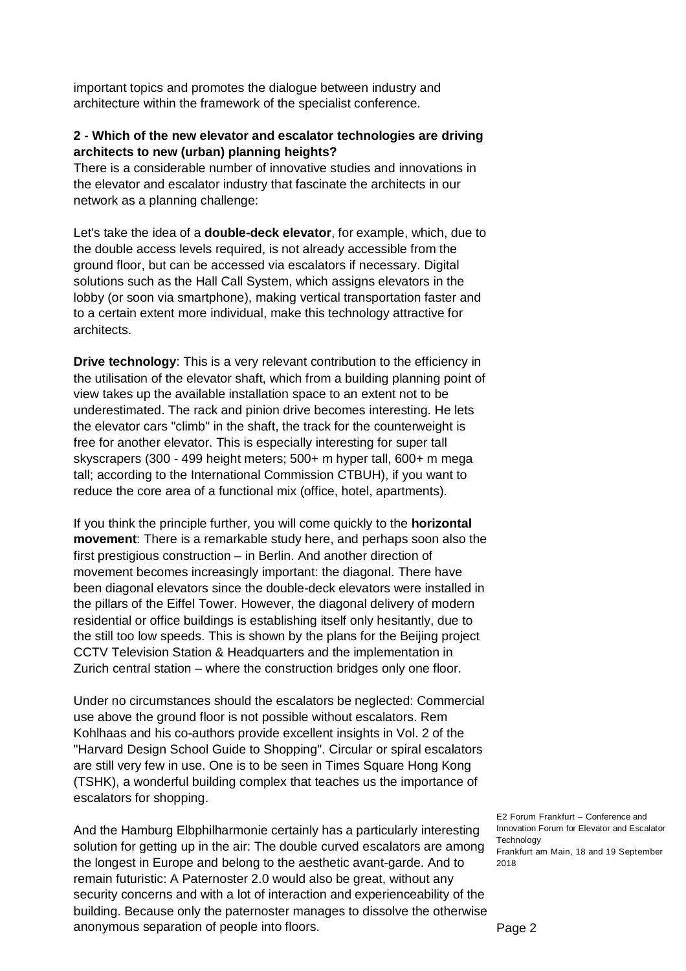important topics and promotes the dialogue between industry and architecture within the framework of the specialist conference.

## **2 - Which of the new elevator and escalator technologies are driving architects to new (urban) planning heights?**

There is a considerable number of innovative studies and innovations in the elevator and escalator industry that fascinate the architects in our network as a planning challenge:

Let's take the idea of a **double-deck elevator**, for example, which, due to the double access levels required, is not already accessible from the ground floor, but can be accessed via escalators if necessary. Digital solutions such as the Hall Call System, which assigns elevators in the lobby (or soon via smartphone), making vertical transportation faster and to a certain extent more individual, make this technology attractive for architects.

**Drive technology**: This is a very relevant contribution to the efficiency in the utilisation of the elevator shaft, which from a building planning point of view takes up the available installation space to an extent not to be underestimated. The rack and pinion drive becomes interesting. He lets the elevator cars "climb" in the shaft, the track for the counterweight is free for another elevator. This is especially interesting for super tall skyscrapers (300 - 499 height meters; 500+ m hyper tall, 600+ m mega tall; according to the International Commission CTBUH), if you want to reduce the core area of a functional mix (office, hotel, apartments).

If you think the principle further, you will come quickly to the **horizontal movement**: There is a remarkable study here, and perhaps soon also the first prestigious construction – in Berlin. And another direction of movement becomes increasingly important: the diagonal. There have been diagonal elevators since the double-deck elevators were installed in the pillars of the Eiffel Tower. However, the diagonal delivery of modern residential or office buildings is establishing itself only hesitantly, due to the still too low speeds. This is shown by the plans for the Beijing project CCTV Television Station & Headquarters and the implementation in Zurich central station – where the construction bridges only one floor.

Under no circumstances should the escalators be neglected: Commercial use above the ground floor is not possible without escalators. Rem Kohlhaas and his co-authors provide excellent insights in Vol. 2 of the "Harvard Design School Guide to Shopping". Circular or spiral escalators are still very few in use. One is to be seen in Times Square Hong Kong (TSHK), a wonderful building complex that teaches us the importance of escalators for shopping.

solution for getting up in the air: The double curved escalators are among Frankfurt am Main, 18 and 19 September And the Hamburg Elbphilharmonie certainly has a particularly interesting the longest in Europe and belong to the aesthetic avant-garde. And to remain futuristic: A Paternoster 2.0 would also be great, without any security concerns and with a lot of interaction and experienceability of the building. Because only the paternoster manages to dissolve the otherwise anonymous separation of people into floors.

E2 Forum Frankfurt – Conference and Innovation Forum for Elevator and Escalator Technology 2018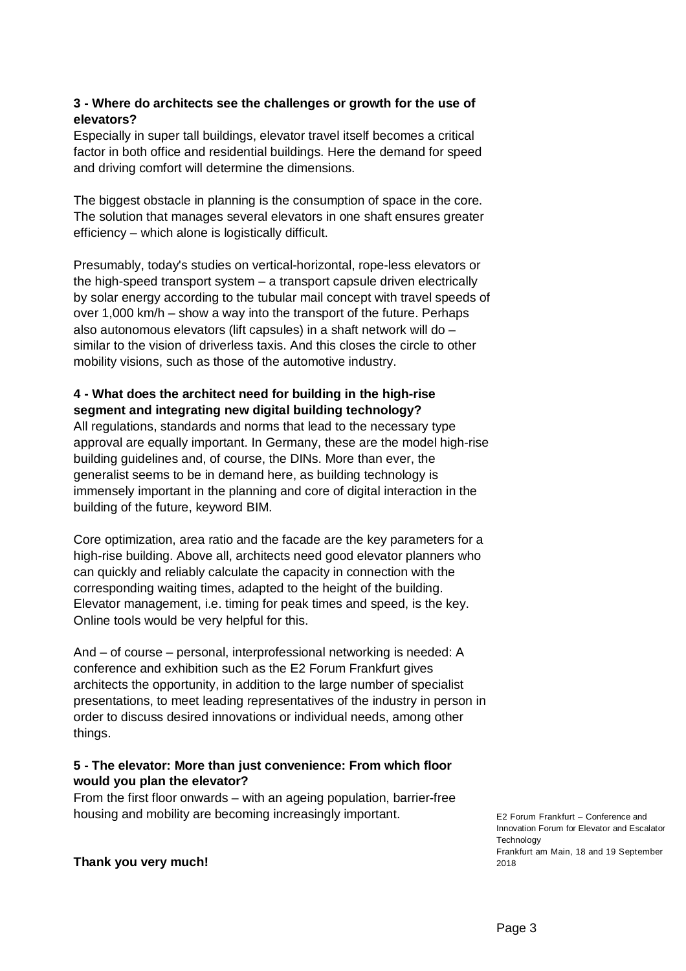# **3 - Where do architects see the challenges or growth for the use of elevators?**

Especially in super tall buildings, elevator travel itself becomes a critical factor in both office and residential buildings. Here the demand for speed and driving comfort will determine the dimensions.

The biggest obstacle in planning is the consumption of space in the core. The solution that manages several elevators in one shaft ensures greater efficiency – which alone is logistically difficult.

Presumably, today's studies on vertical-horizontal, rope-less elevators or the high-speed transport system – a transport capsule driven electrically by solar energy according to the tubular mail concept with travel speeds of over 1,000 km/h – show a way into the transport of the future. Perhaps also autonomous elevators (lift capsules) in a shaft network will do – similar to the vision of driverless taxis. And this closes the circle to other mobility visions, such as those of the automotive industry.

# **4 - What does the architect need for building in the high-rise segment and integrating new digital building technology?**

All regulations, standards and norms that lead to the necessary type approval are equally important. In Germany, these are the model high-rise building guidelines and, of course, the DINs. More than ever, the generalist seems to be in demand here, as building technology is immensely important in the planning and core of digital interaction in the building of the future, keyword BIM.

Core optimization, area ratio and the facade are the key parameters for a high-rise building. Above all, architects need good elevator planners who can quickly and reliably calculate the capacity in connection with the corresponding waiting times, adapted to the height of the building. Elevator management, i.e. timing for peak times and speed, is the key. Online tools would be very helpful for this.

And – of course – personal, interprofessional networking is needed: A conference and exhibition such as the E2 Forum Frankfurt gives architects the opportunity, in addition to the large number of specialist presentations, to meet leading representatives of the industry in person in order to discuss desired innovations or individual needs, among other things.

# **5 - The elevator: More than just convenience: From which floor would you plan the elevator?**

From the first floor onwards – with an ageing population, barrier-free housing and mobility are becoming increasingly important.

E2 Forum Frankfurt – Conference and Innovation Forum for Elevator and Escalator **Technology** Frankfurt am Main, 18 and 19 September 2018

**Thank you very much!**